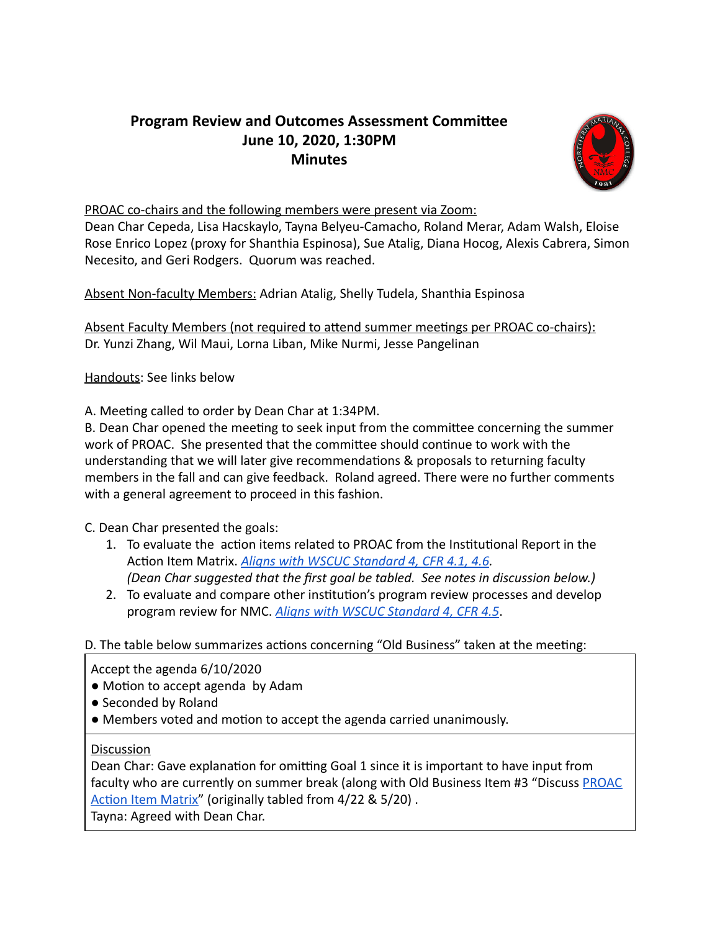## **Program Review and Outcomes Assessment Committee June 10, 2020, 1:30PM Minutes**



## PROAC co-chairs and the following members were present via Zoom:

Dean Char Cepeda, Lisa Hacskaylo, Tayna Belyeu-Camacho, Roland Merar, Adam Walsh, Eloise Rose Enrico Lopez (proxy for Shanthia Espinosa), Sue Atalig, Diana Hocog, Alexis Cabrera, Simon Necesito, and Geri Rodgers. Quorum was reached.

Absent Non-faculty Members: Adrian Atalig, Shelly Tudela, Shanthia Espinosa

Absent Faculty Members (not required to attend summer meetings per PROAC co-chairs): Dr. Yunzi Zhang, Wil Maui, Lorna Liban, Mike Nurmi, Jesse Pangelinan

Handouts: See links below

A. Meeting called to order by Dean Char at 1:34PM.

B. Dean Char opened the meeting to seek input from the committee concerning the summer work of PROAC. She presented that the committee should continue to work with the understanding that we will later give recommendations & proposals to returning faculty members in the fall and can give feedback. Roland agreed. There were no further comments with a general agreement to proceed in this fashion.

C. Dean Char presented the goals:

- 1. To evaluate the action items related to PROAC from the Institutional Report in the Action Item Matrix. *[Aligns with WSCUC Standard 4, CFR 4.1, 4.6](https://drive.google.com/file/d/15ccGFpz-IWDsvssbi4Fu4LY_ZjN49pDd/view?usp=sharing). (Dean Char suggested that the first goal be tabled. See notes in discussion below.)*
- 2. To evaluate and compare other institution's program review processes and develop program review for NMC. *[Aligns with WSCUC Standard 4, CFR 4.5](https://drive.google.com/file/d/15ccGFpz-IWDsvssbi4Fu4LY_ZjN49pDd/view?usp=sharing)* .

## D. The table below summarizes actions concerning "Old Business" taken at the meeting:

Accept the agenda 6/10/2020

- Motion to accept agenda by Adam
- Seconded by Roland
- Members voted and motion to accept the agenda carried unanimously.

## Discussion

Dean Char: Gave explanation for omitting Goal 1 since it is important to have input from faculty who are currently on summer break (along with Old Business Item #3 "Discuss [PROAC](https://docs.google.com/document/d/1vKD0vIusD81xsZFdTpeIkzNun_0jSOr5RU2HOgiRBdo/edit)  Action Item Matrix" (originally tabled from 4/22 & 5/20).

Tayna: Agreed with Dean Char.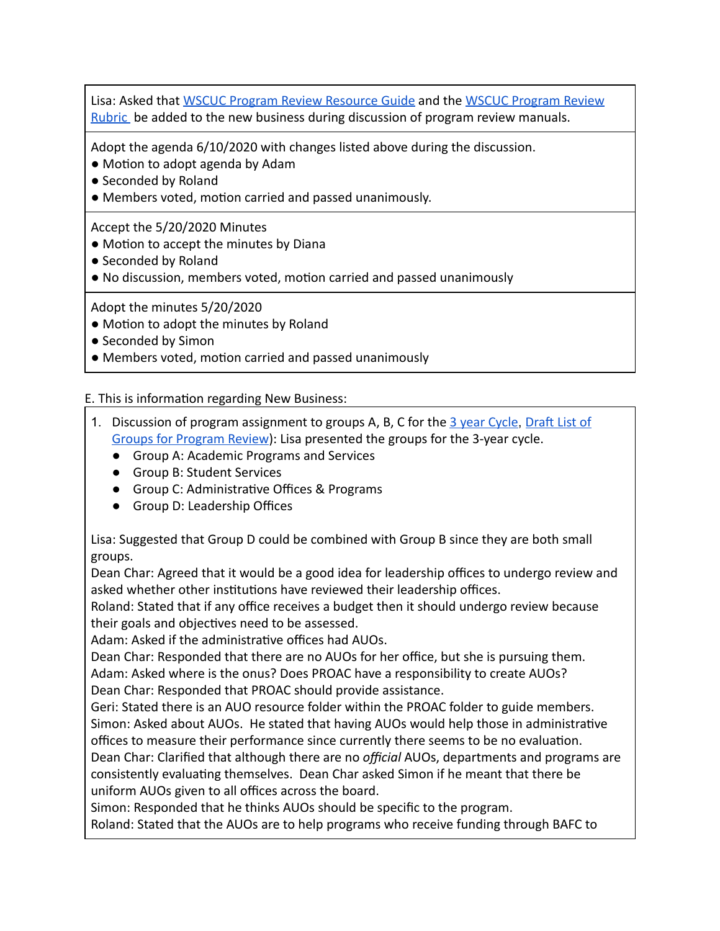Lisa: Asked that [WSCUC Program Review Resource Guide](https://drive.google.com/file/d/1bT8d0xsWP42VMnqZk4P5cDuWOF9aYJ8m/view?usp=sharing) and the [WSCUC Program Review](https://www.wscuc.org/content/rubric-program-review)  [Rubric](https://www.wscuc.org/content/rubric-program-review) be added to the new business during discussion of program review manuals.

Adopt the agenda 6/10/2020 with changes listed above during the discussion.

• Motion to adopt agenda by Adam

- Seconded by Roland
- Members voted, motion carried and passed unanimously.

Accept the 5/20/2020 Minutes

- Motion to accept the minutes by Diana
- Seconded by Roland
- No discussion, members voted, motion carried and passed unanimously

Adopt the minutes 5/20/2020

- Motion to adopt the minutes by Roland
- Seconded by Simon
- Members voted, motion carried and passed unanimously

E. This is information regarding New Business:

- 1. Discussion of program assignment to groups A, B, C for the 3 year Cycle, Draft List of Groups for Program Review): Lisa presented the groups for the 3-year cycle.
	- Group A: Academic Programs and Services
	- Group B: Student Services
	- Group C: Administrative Offices & Programs
	- Group D: Leadership Offices

Lisa: Suggested that Group D could be combined with Group B since they are both small groups.

Dean Char: Agreed that it would be a good idea for leadership offices to undergo review and asked whether other institutions have reviewed their leadership offices.

Roland: Stated that if any office receives a budget then it should undergo review because their goals and objectives need to be assessed.

Adam: Asked if the administrative offices had AUOs.

Dean Char: Responded that there are no AUOs for her office, but she is pursuing them. Adam: Asked where is the onus? Does PROAC have a responsibility to create AUOs? Dean Char: Responded that PROAC should provide assistance.

Geri: Stated there is an AUO resource folder within the PROAC folder to guide members. Simon: Asked about AUOs. He stated that having AUOs would help those in administrative offices to measure their performance since currently there seems to be no evaluation. Dean Char: Clarified that although there are no *official* AUOs, departments and programs are

consistently evaluating themselves. Dean Char asked Simon if he meant that there be uniform AUOs given to all offices across the board.

Simon: Responded that he thinks AUOs should be specific to the program.

Roland: Stated that the AUOs are to help programs who receive funding through BAFC to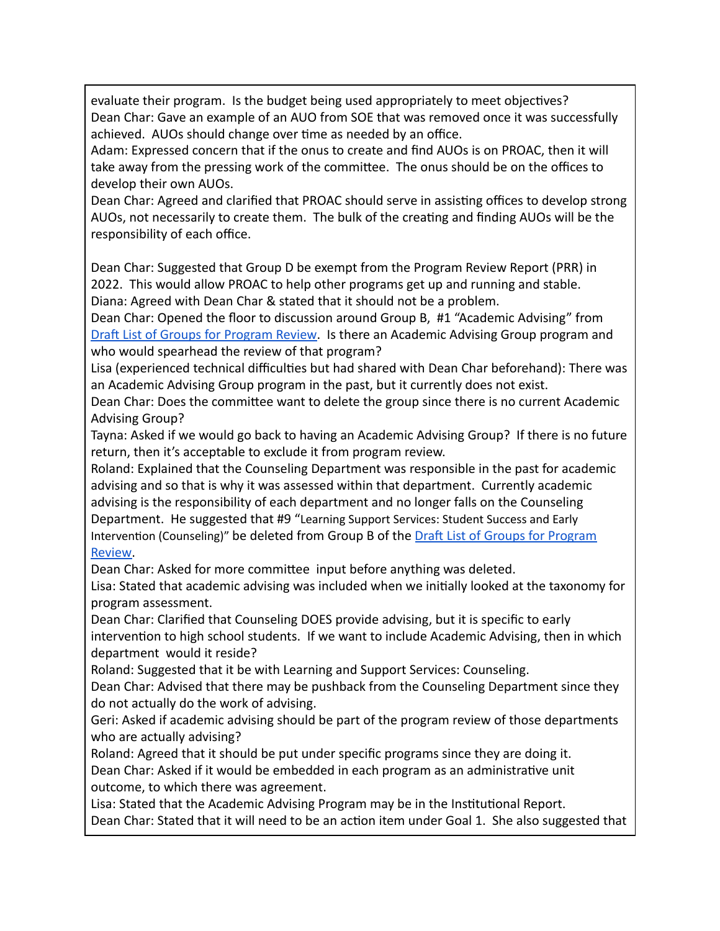evaluate their program. Is the budget being used appropriately to meet objectives? Dean Char: Gave an example of an AUO from SOE that was removed once it was successfully achieved. AUOs should change over time as needed by an office.

Adam: Expressed concern that if the onus to create and find AUOs is on PROAC, then it will take away from the pressing work of the committee. The onus should be on the offices to develop their own AUOs.

Dean Char: Agreed and clarified that PROAC should serve in assisting offices to develop strong AUOs, not necessarily to create them. The bulk of the creating and finding AUOs will be the responsibility of each office.

Dean Char: Suggested that Group D be exempt from the Program Review Report (PRR) in 2022. This would allow PROAC to help other programs get up and running and stable. Diana: Agreed with Dean Char & stated that it should not be a problem.

Dean Char: Opened the floor to discussion around Group B, #1 "Academic Advising" from Draft List of Groups for Program Review. Is there an Academic Advising Group program and who would spearhead the review of that program?

Lisa (experienced technical difficulties but had shared with Dean Char beforehand): There was an Academic Advising Group program in the past, but it currently does not exist.

Dean Char: Does the committee want to delete the group since there is no current Academic Advising Group?

Tayna: Asked if we would go back to having an Academic Advising Group? If there is no future return, then it's acceptable to exclude it from program review.

Roland: Explained that the Counseling Department was responsible in the past for academic advising and so that is why it was assessed within that department. Currently academic advising is the responsibility of each department and no longer falls on the Counseling Department. He suggested that #9 "Learning Support Services: Student Success and Early Intervention (Counseling)" be deleted from Group B of the Draft List of Groups for Program [Review](https://docs.google.com/spreadsheets/d/1PzNpVgksEUEJyb6Coe0vkVkvFMG8xWPb/edit#gid=583505787).

Dean Char: Asked for more committee input before anything was deleted.

Lisa: Stated that academic advising was included when we initially looked at the taxonomy for program assessment.

Dean Char: Clarified that Counseling DOES provide advising, but it is specific to early intervention to high school students. If we want to include Academic Advising, then in which department would it reside?

Roland: Suggested that it be with Learning and Support Services: Counseling.

Dean Char: Advised that there may be pushback from the Counseling Department since they do not actually do the work of advising.

Geri: Asked if academic advising should be part of the program review of those departments who are actually advising?

Roland: Agreed that it should be put under specific programs since they are doing it. Dean Char: Asked if it would be embedded in each program as an administrative unit outcome, to which there was agreement.

Lisa: Stated that the Academic Advising Program may be in the Institutional Report. Dean Char: Stated that it will need to be an action item under Goal 1. She also suggested that